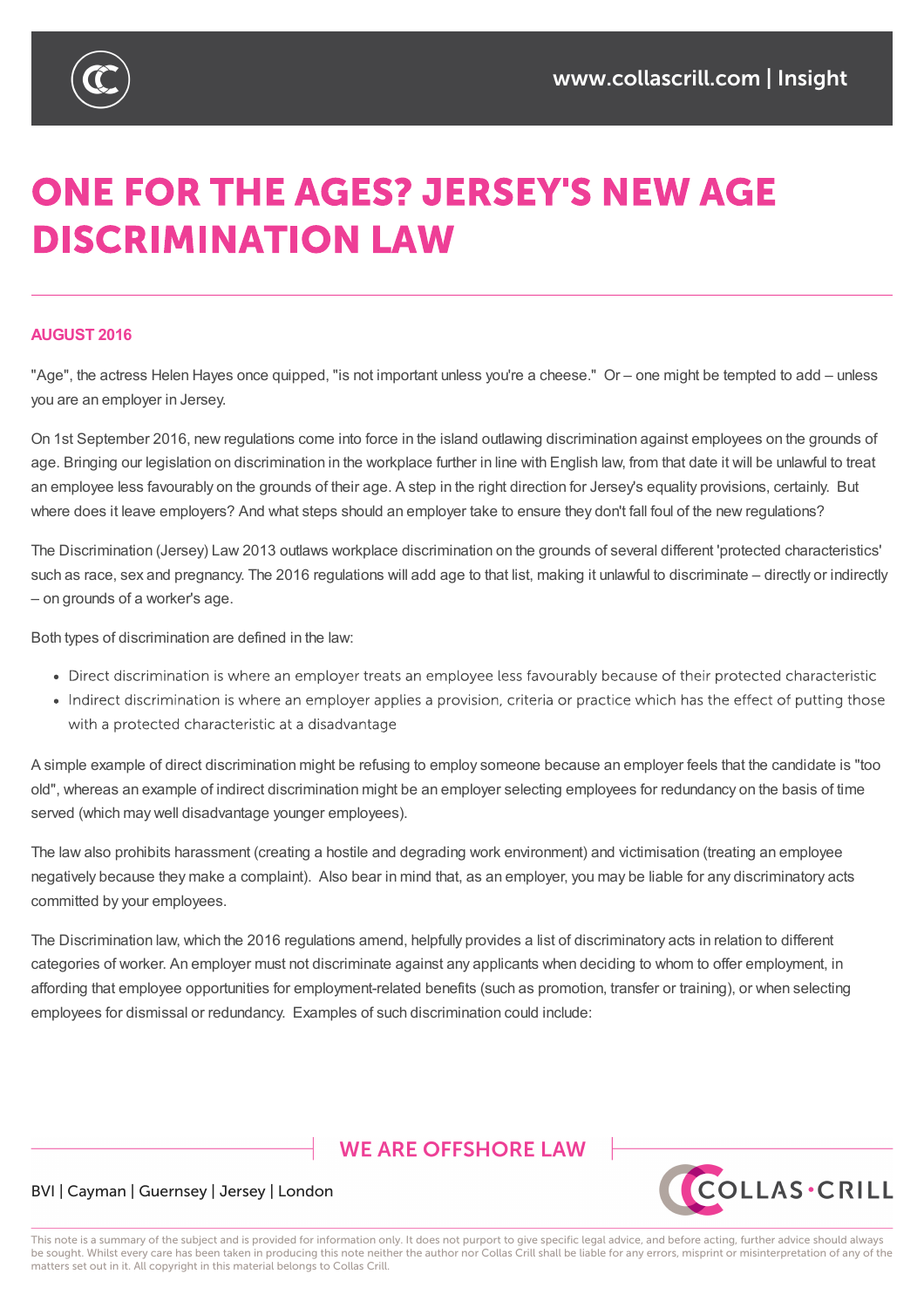

# **ONE FOR THE AGES? JERSEY'S NEW AGE DISCRIMINATION LAW**

#### **AUGUST 2016**

"Age", the actress Helen Hayes once quipped, "is not important unless you're a cheese." Or – one might be tempted to add – unless you are an employer in Jersey.

On 1st September 2016, new regulations come into force in the island outlawing discrimination against employees on the grounds of age. Bringing our legislation on discrimination in the workplace further in line with English law, from that date it will be unlawful to treat an employee less favourably on the grounds of their age. A step in the right direction for Jersey's equality provisions, certainly. But where does it leave employers? And what steps should an employer take to ensure they don't fall foul of the new regulations?

The Discrimination (Jersey) Law 2013 outlaws workplace discrimination on the grounds of several different 'protected characteristics' such as race, sex and pregnancy. The 2016 regulations will add age to that list, making it unlawful to discriminate – directly or indirectly – on grounds of a worker's age.

Both types of discrimination are defined in the law:

- Direct discrimination is where an employer treats an employee less fayourably because of their protected characteristic
- Indirect discrimination is where an employer applies a provision, criteria or practice which has the effect of putting those with a protected characteristic at a disadvantage

A simple example of direct discrimination might be refusing to employ someone because an employer feels that the candidate is "too old", whereas an example of indirect discrimination might be an employer selecting employees for redundancy on the basis of time served (which may well disadvantage younger employees).

The law also prohibits harassment (creating a hostile and degrading work environment) and victimisation (treating an employee negatively because they make a complaint). Also bear in mind that, as an employer, you may be liable for any discriminatory acts committed by your employees.

The Discrimination law, which the 2016 regulations amend, helpfully provides a list of discriminatory acts in relation to different categories of worker. An employer must not discriminate against any applicants when deciding to whom to offer employment, in affording that employee opportunities for employment-related benefits (such as promotion, transfer or training), or when selecting employees for dismissal or redundancy. Examples of such discrimination could include:

## **WE ARE OFFSHORE I AW**



#### BVI | Cayman | Guernsey | Jersey | London

This note is a summary of the subject and is provided for information only. It does not purport to give specific legal advice, and before acting, further advice should always be sought. Whilst every care has been taken in producing this note neither the author nor Collas Crill shall be liable for any errors, misprint or misinterpretation of any of the matters set out in it. All copyright in this material belongs to Collas Crill.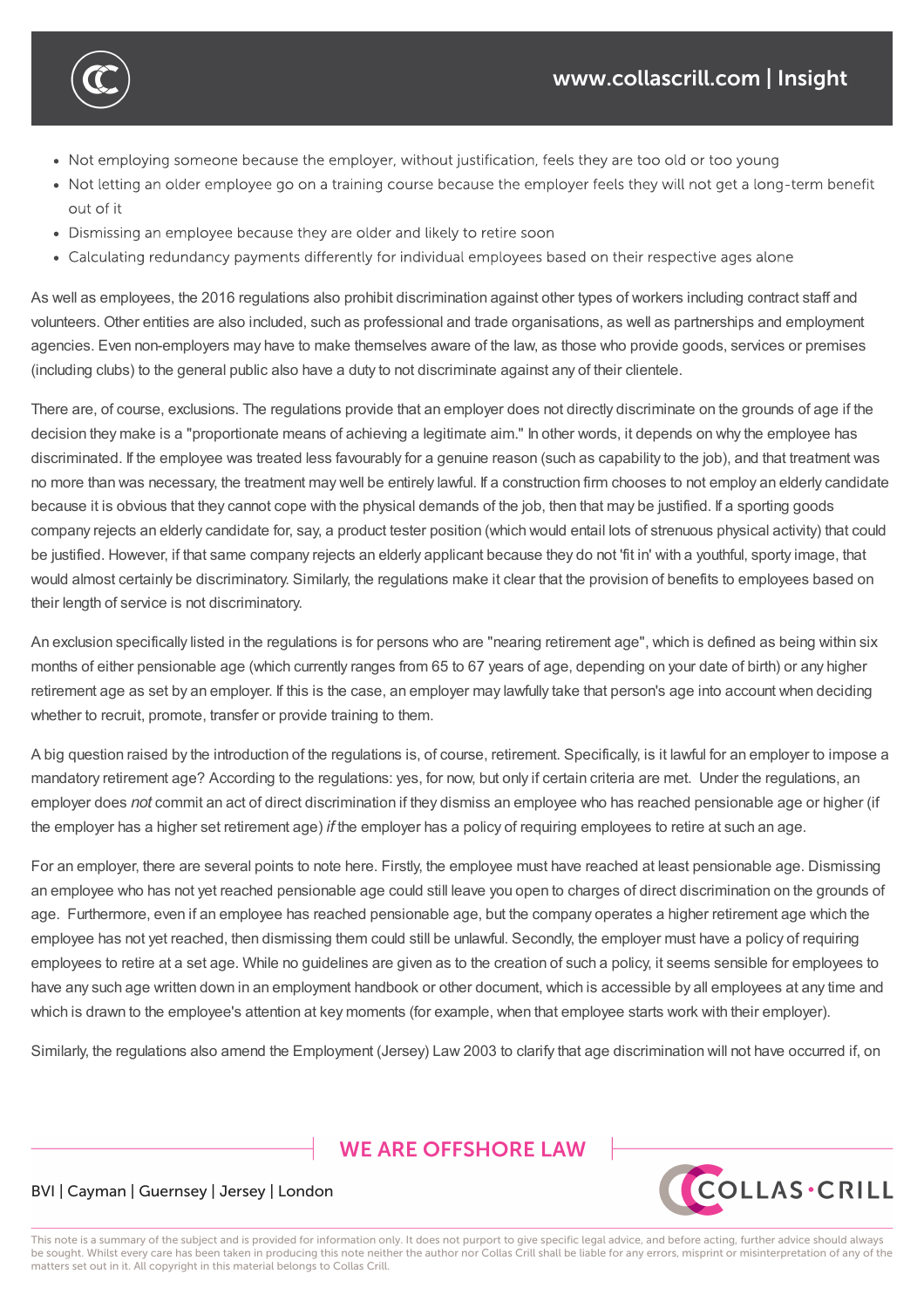• Not employing someone because the employer, without justification, feels they are too old or too young

The Discrimination law, which the 2016 regulations amend, helpfully provides a list of discriminatory acts in relation to different categories of worker. An employer must not discriminate against any application  $\mathcal{L}$ 

- Not letting an older employee go on a training course because the employer feels they will not get a long-term benefit out of it
- Dismissing an employee because they are older and likely to retire soon

employees for dismissal or redundancy. Examples of such discrimination could include:

Calculating redundancy payments differently for individual employees based on their respective ages alone

As well as employees, the 2016 regulations also prohibit discrimination against other types of workers including contract staff and volunteers. Other entities are also included, such as professional and trade organisations, as well as partnerships and employment agencies. Even non-employers may have to make themselves aware of the law, as those who provide goods, services or premises (including clubs) to the general public also have a duty to not discriminate against any of their clientele.

There are, of course, exclusions. The regulations provide that an employer does not directly discriminate on the grounds of age if the decision they make is a "proportionate means of achieving a legitimate aim." In other words, it depends on why the employee has discriminated. If the employee was treated less favourably for a genuine reason (such as capability to the job), and that treatment was no more than was necessary, the treatment may well be entirely lawful. If a construction firm chooses to not employ an elderly candidate because it is obvious that they cannot cope with the physical demands of the job, then that may be justified. If a sporting goods company rejects an elderly candidate for, say, a product tester position (which would entail lots of strenuous physical activity) that could be justified. However, if that same company rejects an elderly applicant because they do not 'fit in' with a youthful, sporty image, that would almost certainly be discriminatory. Similarly, the regulations make it clear that the provision of benefits to employees based on their length of service is not discriminatory.

An exclusion specifically listed in the regulations is for persons who are "nearing retirement age", which is defined as being within six months of either pensionable age (which currently ranges from 65 to 67 years of age, depending on your date of birth) or any higher retirement age as set by an employer. If this is the case, an employer may lawfully take that person's age into account when deciding whether to recruit, promote, transfer or provide training to them.

A big question raised by the introduction of the regulations is, of course, retirement. Specifically, is it lawful for an employer to impose a mandatory retirement age? According to the regulations: yes, for now, but only if certain criteria are met. Under the regulations, an employer does *not* commit an act of direct discrimination if they dismiss an employee who has reached pensionable age or higher (if the employer has a higher set retirement age) *if* the employer has a policy of requiring employees to retire at such an age.

For an employer, there are several points to note here. Firstly, the employee must have reached at least pensionable age. Dismissing an employee who has not yet reached pensionable age could still leave you open to charges of direct discrimination on the grounds of age. Furthermore, even if an employee has reached pensionable age, but the company operates a higher retirement age which the employee has not yet reached, then dismissing them could still be unlawful. Secondly, the employer must have a policy of requiring employees to retire at a set age. While no guidelines are given as to the creation of such a policy, it seems sensible for employees to have any such age written down in an employment handbook or other document, which is accessible by all employees at any time and which is drawn to the employee's attention at key moments (for example, when that employee starts work with their employer).

Similarly, the regulations also amend the Employment (Jersey) Law 2003 to clarify that age discrimination will not have occurred if, on

### **WE ARE OFFSHORE I AW**



#### BVI | Cayman | Guernsey | Jersey | London

This note is a summary of the subject and is provided for information only. It does not purport to give specific legal advice, and before acting, further advice should always be sought. Whilst every care has been taken in producing this note neither the author nor Collas Crill shall be liable for any errors, misprint or misinterpretation of any of the matters set out in it. All copyright in this material belongs to Collas Crill.